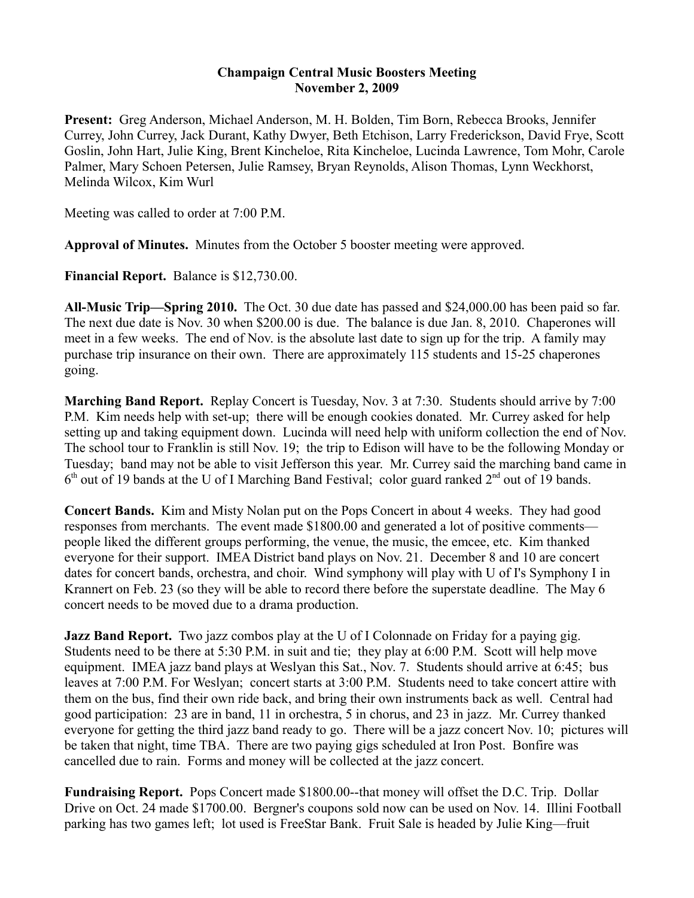## **Champaign Central Music Boosters Meeting November 2, 2009**

**Present:** Greg Anderson, Michael Anderson, M. H. Bolden, Tim Born, Rebecca Brooks, Jennifer Currey, John Currey, Jack Durant, Kathy Dwyer, Beth Etchison, Larry Frederickson, David Frye, Scott Goslin, John Hart, Julie King, Brent Kincheloe, Rita Kincheloe, Lucinda Lawrence, Tom Mohr, Carole Palmer, Mary Schoen Petersen, Julie Ramsey, Bryan Reynolds, Alison Thomas, Lynn Weckhorst, Melinda Wilcox, Kim Wurl

Meeting was called to order at 7:00 P.M.

**Approval of Minutes.** Minutes from the October 5 booster meeting were approved.

**Financial Report.** Balance is \$12,730.00.

**All-Music Trip—Spring 2010.** The Oct. 30 due date has passed and \$24,000.00 has been paid so far. The next due date is Nov. 30 when \$200.00 is due. The balance is due Jan. 8, 2010. Chaperones will meet in a few weeks. The end of Nov. is the absolute last date to sign up for the trip. A family may purchase trip insurance on their own. There are approximately 115 students and 15-25 chaperones going.

**Marching Band Report.** Replay Concert is Tuesday, Nov. 3 at 7:30. Students should arrive by 7:00 P.M. Kim needs help with set-up; there will be enough cookies donated. Mr. Currey asked for help setting up and taking equipment down. Lucinda will need help with uniform collection the end of Nov. The school tour to Franklin is still Nov. 19; the trip to Edison will have to be the following Monday or Tuesday; band may not be able to visit Jefferson this year. Mr. Currey said the marching band came in  $6<sup>th</sup>$  out of 19 bands at the U of I Marching Band Festival; color guard ranked  $2<sup>nd</sup>$  out of 19 bands.

**Concert Bands.** Kim and Misty Nolan put on the Pops Concert in about 4 weeks. They had good responses from merchants. The event made \$1800.00 and generated a lot of positive comments people liked the different groups performing, the venue, the music, the emcee, etc. Kim thanked everyone for their support. IMEA District band plays on Nov. 21. December 8 and 10 are concert dates for concert bands, orchestra, and choir. Wind symphony will play with U of I's Symphony I in Krannert on Feb. 23 (so they will be able to record there before the superstate deadline. The May 6 concert needs to be moved due to a drama production.

**Jazz Band Report.** Two jazz combos play at the U of I Colonnade on Friday for a paying gig. Students need to be there at 5:30 P.M. in suit and tie; they play at 6:00 P.M. Scott will help move equipment. IMEA jazz band plays at Weslyan this Sat., Nov. 7. Students should arrive at 6:45; bus leaves at 7:00 P.M. For Weslyan; concert starts at 3:00 P.M. Students need to take concert attire with them on the bus, find their own ride back, and bring their own instruments back as well. Central had good participation: 23 are in band, 11 in orchestra, 5 in chorus, and 23 in jazz. Mr. Currey thanked everyone for getting the third jazz band ready to go. There will be a jazz concert Nov. 10; pictures will be taken that night, time TBA. There are two paying gigs scheduled at Iron Post. Bonfire was cancelled due to rain. Forms and money will be collected at the jazz concert.

**Fundraising Report.** Pops Concert made \$1800.00--that money will offset the D.C. Trip. Dollar Drive on Oct. 24 made \$1700.00. Bergner's coupons sold now can be used on Nov. 14. Illini Football parking has two games left; lot used is FreeStar Bank. Fruit Sale is headed by Julie King—fruit